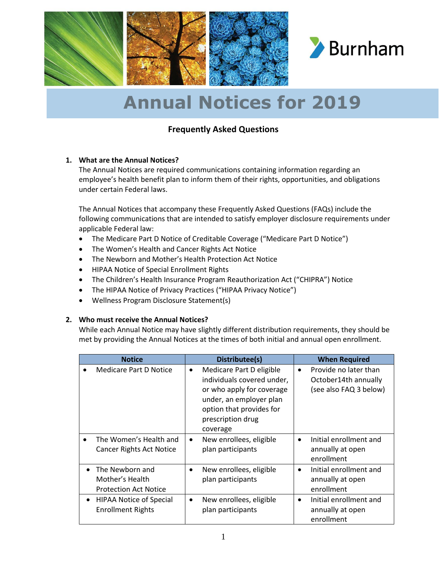

### **Frequently Asked Questions**

#### **1. What are the Annual Notices?**

The Annual Notices are required communications containing information regarding an employee's health benefit plan to inform them of their rights, opportunities, and obligations under certain Federal laws.

The Annual Notices that accompany these Frequently Asked Questions (FAQs) include the following communications that are intended to satisfy employer disclosure requirements under applicable Federal law:

- The Medicare Part D Notice of Creditable Coverage ("Medicare Part D Notice")
- The Women's Health and Cancer Rights Act Notice
- The Newborn and Mother's Health Protection Act Notice
- HIPAA Notice of Special Enrollment Rights
- The Children's Health Insurance Program Reauthorization Act ("CHIPRA") Notice
- The HIPAA Notice of Privacy Practices ("HIPAA Privacy Notice")
- Wellness Program Disclosure Statement(s)

#### **2. Who must receive the Annual Notices?**

While each Annual Notice may have slightly different distribution requirements, they should be met by providing the Annual Notices at the times of both initial and annual open enrollment.

| <b>Notice</b>                                                                   | Distributee(s)                                                                                                                                                                           | <b>When Required</b>                                                                 |
|---------------------------------------------------------------------------------|------------------------------------------------------------------------------------------------------------------------------------------------------------------------------------------|--------------------------------------------------------------------------------------|
| Medicare Part D Notice                                                          | Medicare Part D eligible<br>$\bullet$<br>individuals covered under,<br>or who apply for coverage<br>under, an employer plan<br>option that provides for<br>prescription drug<br>coverage | Provide no later than<br>$\bullet$<br>October14th annually<br>(see also FAQ 3 below) |
| The Women's Health and<br><b>Cancer Rights Act Notice</b>                       | New enrollees, eligible<br>$\bullet$<br>plan participants                                                                                                                                | Initial enrollment and<br>annually at open<br>enrollment                             |
| The Newborn and<br>$\bullet$<br>Mother's Health<br><b>Protection Act Notice</b> | New enrollees, eligible<br>$\bullet$<br>plan participants                                                                                                                                | Initial enrollment and<br>annually at open<br>enrollment                             |
| <b>HIPAA Notice of Special</b><br>$\bullet$<br><b>Enrollment Rights</b>         | New enrollees, eligible<br>$\bullet$<br>plan participants                                                                                                                                | Initial enrollment and<br>٠<br>annually at open<br>enrollment                        |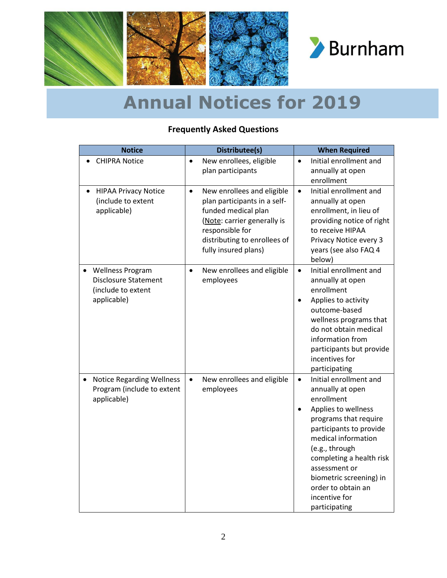

### **Frequently Asked Questions**

| <b>Notice</b>                                                                               | Distributee(s)                                                                                                                                                                                           | <b>When Required</b>                                                                                                                                                                                                                                                                                                      |
|---------------------------------------------------------------------------------------------|----------------------------------------------------------------------------------------------------------------------------------------------------------------------------------------------------------|---------------------------------------------------------------------------------------------------------------------------------------------------------------------------------------------------------------------------------------------------------------------------------------------------------------------------|
| <b>CHIPRA Notice</b>                                                                        | New enrollees, eligible<br>$\bullet$<br>plan participants                                                                                                                                                | Initial enrollment and<br>$\bullet$<br>annually at open<br>enrollment                                                                                                                                                                                                                                                     |
| <b>HIPAA Privacy Notice</b><br>(include to extent<br>applicable)                            | New enrollees and eligible<br>$\bullet$<br>plan participants in a self-<br>funded medical plan<br>(Note: carrier generally is<br>responsible for<br>distributing to enrollees of<br>fully insured plans) | Initial enrollment and<br>$\bullet$<br>annually at open<br>enrollment, in lieu of<br>providing notice of right<br>to receive HIPAA<br>Privacy Notice every 3<br>years (see also FAQ 4<br>below)                                                                                                                           |
| <b>Wellness Program</b><br><b>Disclosure Statement</b><br>(include to extent<br>applicable) | New enrollees and eligible<br>$\bullet$<br>employees                                                                                                                                                     | Initial enrollment and<br>$\bullet$<br>annually at open<br>enrollment<br>Applies to activity<br>$\bullet$<br>outcome-based<br>wellness programs that<br>do not obtain medical<br>information from<br>participants but provide<br>incentives for<br>participating                                                          |
| <b>Notice Regarding Wellness</b><br>Program (include to extent<br>applicable)               | New enrollees and eligible<br>$\bullet$<br>employees                                                                                                                                                     | Initial enrollment and<br>$\bullet$<br>annually at open<br>enrollment<br>Applies to wellness<br>programs that require<br>participants to provide<br>medical information<br>(e.g., through<br>completing a health risk<br>assessment or<br>biometric screening) in<br>order to obtain an<br>incentive for<br>participating |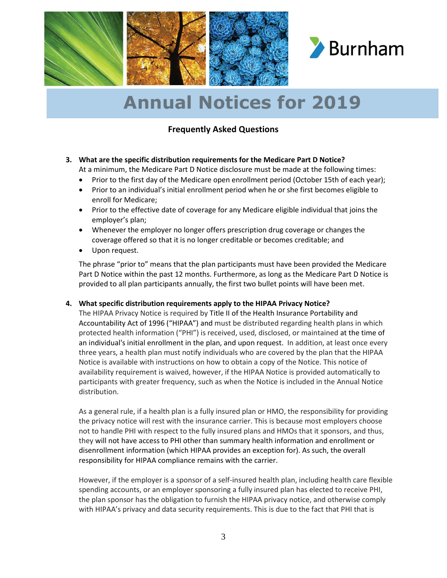

### **Frequently Asked Questions**

### **3. What are the specific distribution requirements for the Medicare Part D Notice?**

At a minimum, the Medicare Part D Notice disclosure must be made at the following times:

- Prior to the first day of the Medicare open enrollment period (October 15th of each year);
- Prior to an individual's initial enrollment period when he or she first becomes eligible to enroll for Medicare;
- Prior to the effective date of coverage for any Medicare eligible individual that joins the employer's plan;
- Whenever the employer no longer offers prescription drug coverage or changes the coverage offered so that it is no longer creditable or becomes creditable; and
- Upon request.

The phrase "prior to" means that the plan participants must have been provided the Medicare Part D Notice within the past 12 months. Furthermore, as long as the Medicare Part D Notice is provided to all plan participants annually, the first two bullet points will have been met.

#### **4. What specific distribution requirements apply to the HIPAA Privacy Notice?**

The HIPAA Privacy Notice is required by Title II of the Health Insurance Portability and Accountability Act of 1996 ("HIPAA") and must be distributed regarding health plans in which protected health information ("PHI") is received, used, disclosed, or maintained at the time of an individual's initial enrollment in the plan, and upon request. In addition, at least once every three years, a health plan must notify individuals who are covered by the plan that the HIPAA Notice is available with instructions on how to obtain a copy of the Notice. This notice of availability requirement is waived, however, if the HIPAA Notice is provided automatically to participants with greater frequency, such as when the Notice is included in the Annual Notice distribution.

As a general rule, if a health plan is a fully insured plan or HMO, the responsibility for providing the privacy notice will rest with the insurance carrier. This is because most employers choose not to handle PHI with respect to the fully insured plans and HMOs that it sponsors, and thus, they will not have access to PHI other than summary health information and enrollment or disenrollment information (which HIPAA provides an exception for). As such, the overall responsibility for HIPAA compliance remains with the carrier.

However, if the employer is a sponsor of a self-insured health plan, including health care flexible spending accounts, or an employer sponsoring a fully insured plan has elected to receive PHI, the plan sponsor has the obligation to furnish the HIPAA privacy notice, and otherwise comply with HIPAA's privacy and data security requirements. This is due to the fact that PHI that is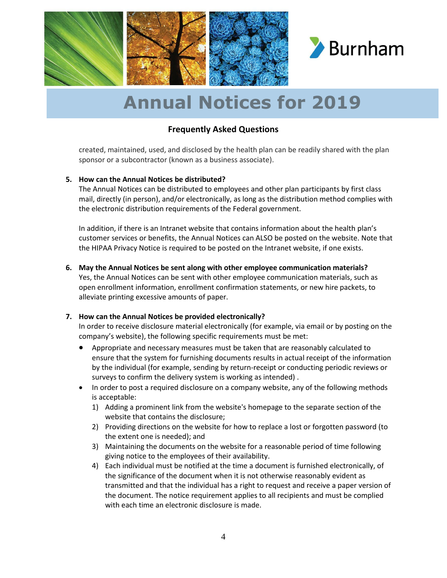

#### **Frequently Asked Questions**

created, maintained, used, and disclosed by the health plan can be readily shared with the plan sponsor or a subcontractor (known as a business associate).

#### **5. How can the Annual Notices be distributed?**

The Annual Notices can be distributed to employees and other plan participants by first class mail, directly (in person), and/or electronically, as long as the distribution method complies with the electronic distribution requirements of the Federal government.

In addition, if there is an Intranet website that contains information about the health plan's customer services or benefits, the Annual Notices can ALSO be posted on the website. Note that the HIPAA Privacy Notice is required to be posted on the Intranet website, if one exists.

**6. May the Annual Notices be sent along with other employee communication materials?**

Yes, the Annual Notices can be sent with other employee communication materials, such as open enrollment information, enrollment confirmation statements, or new hire packets, to alleviate printing excessive amounts of paper.

#### **7. How can the Annual Notices be provided electronically?**

In order to receive disclosure material electronically (for example, via email or by posting on the company's website), the following specific requirements must be met:

- Appropriate and necessary measures must be taken that are reasonably calculated to ensure that the system for furnishing documents results in actual receipt of the information by the individual (for example, sending by return-receipt or conducting periodic reviews or surveys to confirm the delivery system is working as intended) .
- In order to post a required disclosure on a company website, any of the following methods is acceptable:
	- 1) Adding a prominent link from the website's homepage to the separate section of the website that contains the disclosure;
	- 2) Providing directions on the website for how to replace a lost or forgotten password (to the extent one is needed); and
	- 3) Maintaining the documents on the website for a reasonable period of time following giving notice to the employees of their availability.
	- 4) Each individual must be notified at the time a document is furnished electronically, of the significance of the document when it is not otherwise reasonably evident as transmitted and that the individual has a right to request and receive a paper version of the document. The notice requirement applies to all recipients and must be complied with each time an electronic disclosure is made.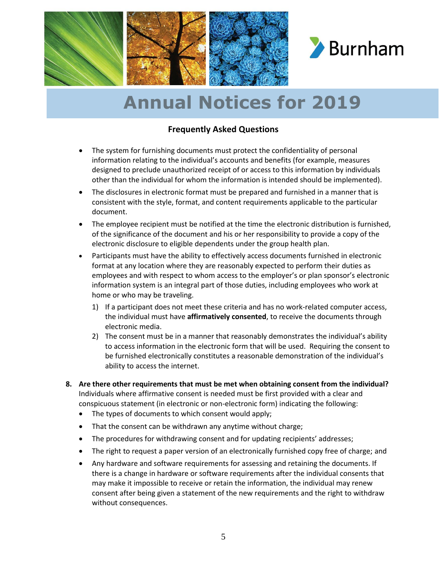

### **Frequently Asked Questions**

- The system for furnishing documents must protect the confidentiality of personal information relating to the individual's accounts and benefits (for example, measures designed to preclude unauthorized receipt of or access to this information by individuals other than the individual for whom the information is intended should be implemented).
- The disclosures in electronic format must be prepared and furnished in a manner that is consistent with the style, format, and content requirements applicable to the particular document.
- The employee recipient must be notified at the time the electronic distribution is furnished, of the significance of the document and his or her responsibility to provide a copy of the electronic disclosure to eligible dependents under the group health plan.
- Participants must have the ability to effectively access documents furnished in electronic format at any location where they are reasonably expected to perform their duties as employees and with respect to whom access to the employer's or plan sponsor's electronic information system is an integral part of those duties, including employees who work at home or who may be traveling.
	- 1) If a participant does not meet these criteria and has no work-related computer access, the individual must have **affirmatively consented**, to receive the documents through electronic media.
	- 2) The consent must be in a manner that reasonably demonstrates the individual's ability to access information in the electronic form that will be used. Requiring the consent to be furnished electronically constitutes a reasonable demonstration of the individual's ability to access the internet.
- **8. Are there other requirements that must be met when obtaining consent from the individual?** Individuals where affirmative consent is needed must be first provided with a clear and conspicuous statement (in electronic or non-electronic form) indicating the following:
	- The types of documents to which consent would apply;
	- That the consent can be withdrawn any anytime without charge;
	- The procedures for withdrawing consent and for updating recipients' addresses;
	- The right to request a paper version of an electronically furnished copy free of charge; and
	- Any hardware and software requirements for assessing and retaining the documents. If there is a change in hardware or software requirements after the individual consents that may make it impossible to receive or retain the information, the individual may renew consent after being given a statement of the new requirements and the right to withdraw without consequences.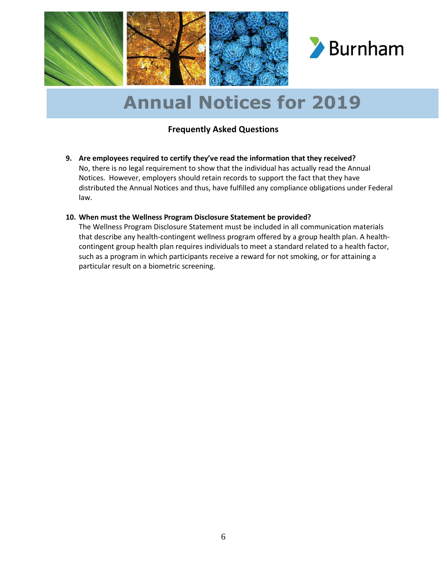

### **Frequently Asked Questions**

**9. Are employees required to certify they've read the information that they received?** No, there is no legal requirement to show that the individual has actually read the Annual Notices. However, employers should retain records to support the fact that they have distributed the Annual Notices and thus, have fulfilled any compliance obligations under Federal law.

#### **10. When must the Wellness Program Disclosure Statement be provided?**

The Wellness Program Disclosure Statement must be included in all communication materials that describe any health-contingent wellness program offered by a group health plan. A healthcontingent group health plan requires individuals to meet a standard related to a health factor, such as a program in which participants receive a reward for not smoking, or for attaining a particular result on a biometric screening.